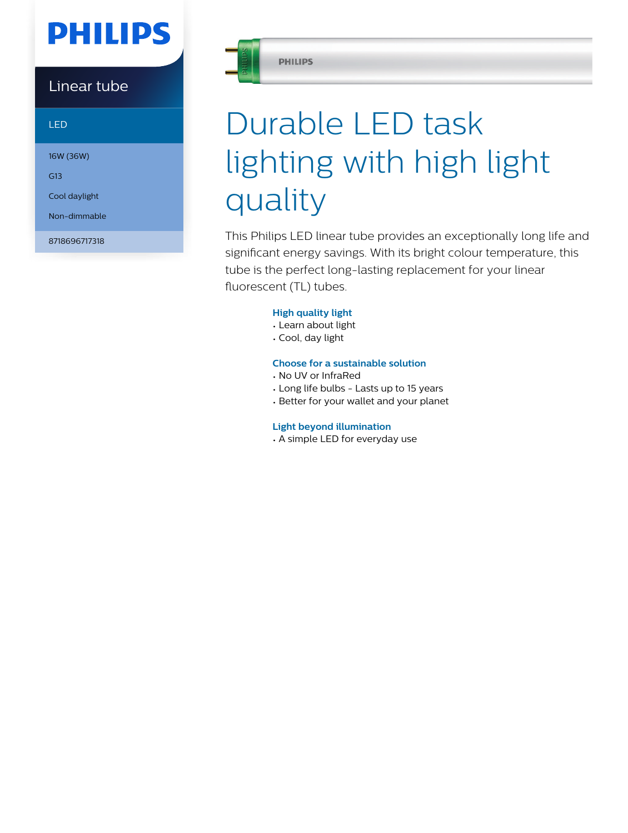## **PHILIPS**

### Linear tube

LED

16W (36W)

G13

Cool daylight

Non-dimmable

8718696717318



#### **PHILIPS**

# Durable LED task lighting with high light quality

This Philips LED linear tube provides an exceptionally long life and significant energy savings. With its bright colour temperature, this tube is the perfect long-lasting replacement for your linear fluorescent (TL) tubes.

#### **High quality light**

- Learn about light
- Cool, day light

#### **Choose for a sustainable solution**

- No UV or InfraRed
- Long life bulbs Lasts up to 15 years
- Better for your wallet and your planet

#### **Light beyond illumination**

• A simple LED for everyday use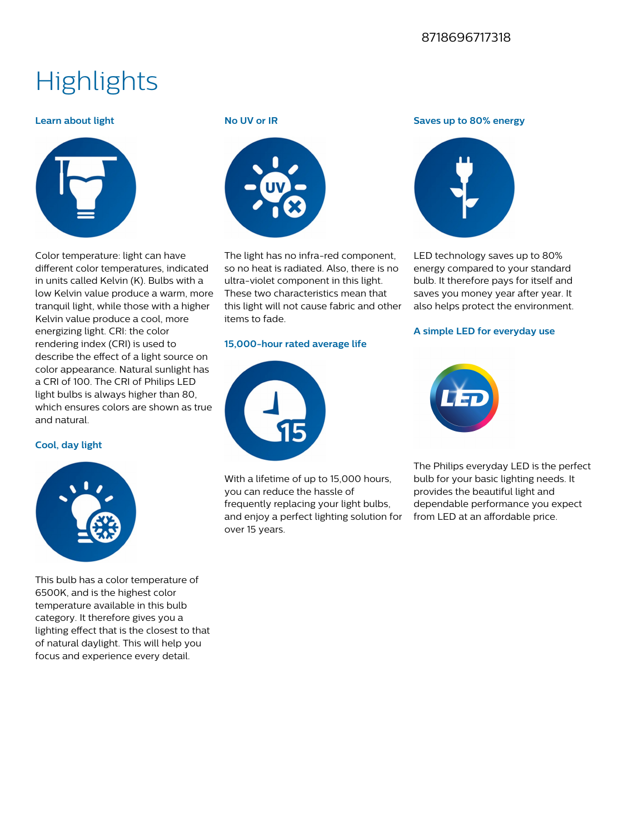#### 8718696717318

### **Highlights**

#### **Learn about light**



Color temperature: light can have different color temperatures, indicated in units called Kelvin (K). Bulbs with a low Kelvin value produce a warm, more tranquil light, while those with a higher Kelvin value produce a cool, more energizing light. CRI: the color rendering index (CRI) is used to describe the effect of a light source on color appearance. Natural sunlight has a CRI of 100. The CRI of Philips LED light bulbs is always higher than 80, which ensures colors are shown as true and natural.

#### **Cool, day light**



This bulb has a color temperature of 6500K, and is the highest color temperature available in this bulb category. It therefore gives you a lighting effect that is the closest to that of natural daylight. This will help you focus and experience every detail.

#### **No UV or IR**



The light has no infra-red component, so no heat is radiated. Also, there is no ultra-violet component in this light. These two characteristics mean that this light will not cause fabric and other items to fade.

#### **15,000-hour rated average life**



With a lifetime of up to 15,000 hours, you can reduce the hassle of frequently replacing your light bulbs, and enjoy a perfect lighting solution for over 15 years.

#### **Saves up to 80% energy**



LED technology saves up to 80% energy compared to your standard bulb. It therefore pays for itself and saves you money year after year. It also helps protect the environment.

#### **A simple LED for everyday use**



The Philips everyday LED is the perfect bulb for your basic lighting needs. It provides the beautiful light and dependable performance you expect from LED at an affordable price.